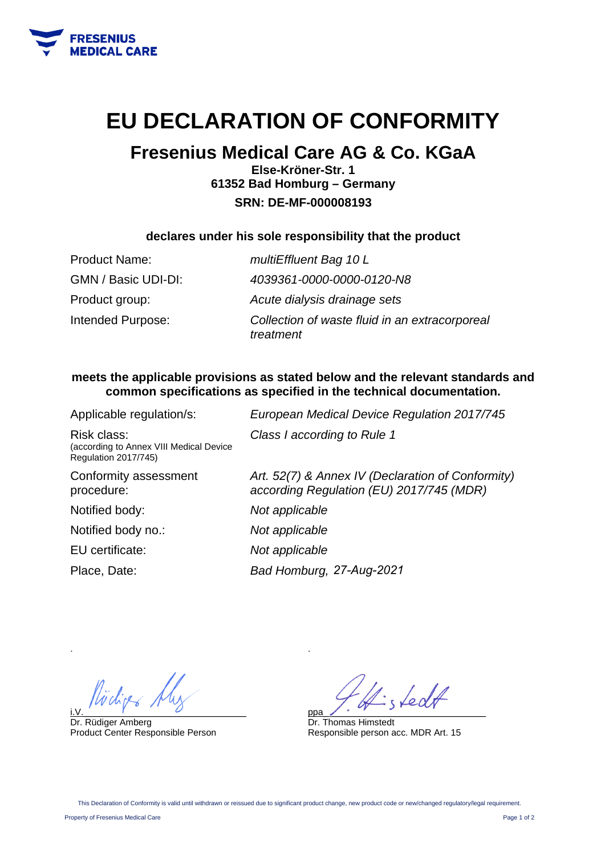

## **EU DECLARATION OF CONFORMITY**

### **Fresenius Medical Care AG & Co. KGaA**

**Else-Kröner-Str. 1 61352 Bad Homburg – Germany SRN: DE-MF-000008193** 

#### **declares under his sole responsibility that the product**

| <b>Product Name:</b> | multiEffluent Bag 10 L                                      |
|----------------------|-------------------------------------------------------------|
| GMN / Basic UDI-DI:  | 4039361-0000-0000-0120-N8                                   |
| Product group:       | Acute dialysis drainage sets                                |
| Intended Purpose:    | Collection of waste fluid in an extracorporeal<br>treatment |

#### **meets the applicable provisions as stated below and the relevant standards and common specifications as specified in the technical documentation.**

| Applicable regulation/s:                                                       | European Medical Device Regulation 2017/745                                                   |
|--------------------------------------------------------------------------------|-----------------------------------------------------------------------------------------------|
| Risk class:<br>(according to Annex VIII Medical Device<br>Regulation 2017/745) | Class I according to Rule 1                                                                   |
| Conformity assessment<br>procedure:                                            | Art. 52(7) & Annex IV (Declaration of Conformity)<br>according Regulation (EU) 2017/745 (MDR) |
| Notified body:                                                                 | Not applicable                                                                                |
| Notified body no.:                                                             | Not applicable                                                                                |
| EU certificate:                                                                | Not applicable                                                                                |
| Place, Date:                                                                   | Bad Homburg, 27-Aug-2021                                                                      |
|                                                                                |                                                                                               |

i.V.  $\overline{y}$  and  $\overline{y}$  and  $\overline{y}$  and  $\overline{y}$  and  $\overline{y}$  and  $\overline{y}$  and  $\overline{y}$  and  $\overline{y}$  and  $\overline{y}$  and  $\overline{y}$  and  $\overline{y}$  and  $\overline{y}$  and  $\overline{y}$  and  $\overline{y}$  and  $\overline{y}$  and  $\overline{y}$  and  $\overline{y}$ 

Dr. Rüdiger Amberg Product Center Responsible Person

ppa\_\_\_\_\_\_\_\_\_\_\_\_\_\_\_\_\_\_\_\_\_\_\_\_\_\_\_\_\_\_\_\_

Dr. Thomas Himstedt Responsible person acc. MDR Art. 15

.

.